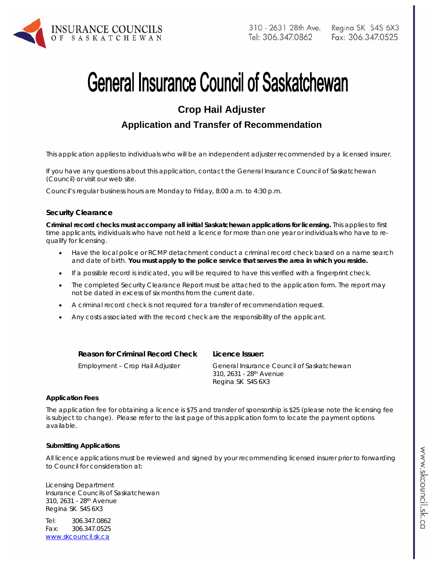

# **General Insurance Council of Saskatchewan**

# **Crop Hail Adjuster**

## **Application and Transfer of Recommendation**

*This application applies to individuals who will be an independent adjuster recommended by a licensed insurer.* 

If you have any questions about this application, contact the General Insurance Council of Saskatchewan (Council) or visit our web site.

Council's regular business hours are Monday to Friday, 8:00 a.m. to 4:30 p.m.

#### **Security Clearance**

**Criminal record checks must accompany all initial Saskatchewan applications for licensing.** This applies to first time applicants, individuals who have not held a licence for more than one year or individuals who have to requalify for licensing.

- Have the local police or RCMP detachment conduct a criminal record check based on a name search and date of birth. **You must apply to the police service that serves the area in which you reside.**
- If a possible record is indicated, you will be required to have this verified with a fingerprint check.
- The completed Security Clearance Report must be attached to the application form. The report may not be dated in excess of six months from the current date.
- A criminal record check is not required for a transfer of recommendation request.
- Any costs associated with the record check are the responsibility of the applicant.

**Reason for Criminal Record Check Licence Issuer:** 

Employment – Crop Hail Adjuster General Insurance Council of Saskatchewan 310, 2631 - 28th Avenue Regina SK S4S 6X3

#### **Application Fees**

The application fee for obtaining a licence is \$75 and transfer of sponsorship is \$25 (please note the licensing fee is subject to change). Please refer to the last page of this application form to locate the payment options available.

#### **Submitting Applications**

All licence applications must be reviewed and signed by your recommending licensed insurer prior to forwarding to Council for consideration at:

Licensing Department Insurance Councils of Saskatchewan 310, 2631 - 28th Avenue Regina SK S4S 6X3

Tel: 306.347.0862 Fax: 306.347.0525 www.skcouncil.sk.ca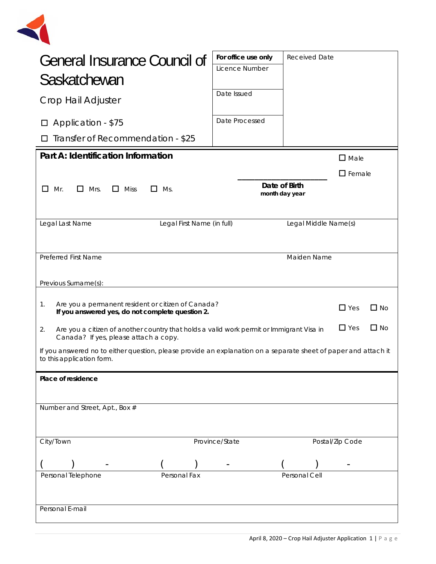

| <b>General Insurance Council of</b><br>Saskatchewan<br>Crop Hail Adjuster<br>Application - \$75<br>Transfer of Recommendation - \$25                               |                            | For office use only<br>Licence Number<br>Date Issued<br>Date Processed | <b>Received Date</b>            |                 |  |
|--------------------------------------------------------------------------------------------------------------------------------------------------------------------|----------------------------|------------------------------------------------------------------------|---------------------------------|-----------------|--|
| Part A: Identification Information                                                                                                                                 |                            |                                                                        |                                 | $\square$ Male  |  |
| $\Box$<br>$\Box$<br>Mr.<br>Mrs.<br>Miss<br>Ms.<br>$\mathsf{L}$<br>l 1                                                                                              |                            |                                                                        | Date of Birth<br>month day year | $\Box$ Female   |  |
| Legal Last Name                                                                                                                                                    | Legal First Name (in full) |                                                                        | Legal Middle Name(s)            |                 |  |
| <b>Preferred First Name</b><br>Previous Surname(s):                                                                                                                |                            |                                                                        | Maiden Name                     |                 |  |
| Are you a permanent resident or citizen of Canada?<br>$1_{\cdot}$<br>$\Box$ Yes<br>$\square$ No<br>If you answered yes, do not complete question 2.                |                            |                                                                        |                                 |                 |  |
| $\Box$ Yes<br>$\Box$ No<br>2.<br>Are you a citizen of another country that holds a valid work permit or Immigrant Visa in<br>Canada? If yes, please attach a copy. |                            |                                                                        |                                 |                 |  |
| If you answered no to either question, please provide an explanation on a separate sheet of paper and attach it<br>to this application form.                       |                            |                                                                        |                                 |                 |  |
| Place of residence                                                                                                                                                 |                            |                                                                        |                                 |                 |  |
| Number and Street, Apt., Box #                                                                                                                                     |                            |                                                                        |                                 |                 |  |
| City/Town                                                                                                                                                          |                            | Province/State                                                         |                                 | Postal/Zip Code |  |
| Personal Telephone<br>Personal E-mail                                                                                                                              | Personal Fax               |                                                                        | Personal Cell                   |                 |  |
|                                                                                                                                                                    |                            |                                                                        |                                 |                 |  |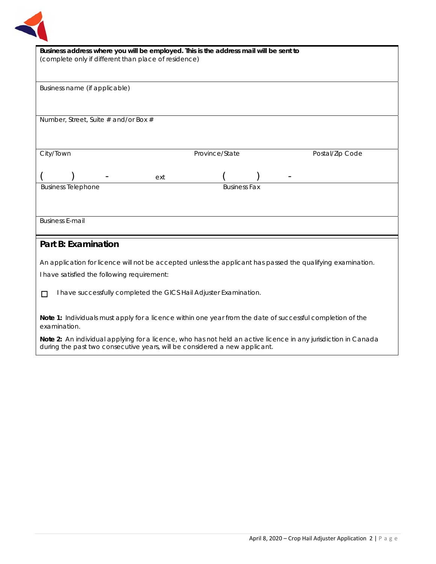

| Business address where you will be employed. This is the address mail will be sent to                       |  |  |  |  |
|-------------------------------------------------------------------------------------------------------------|--|--|--|--|
| (complete only if different than place of residence)                                                        |  |  |  |  |
|                                                                                                             |  |  |  |  |
|                                                                                                             |  |  |  |  |
| Business name (if applicable)                                                                               |  |  |  |  |
|                                                                                                             |  |  |  |  |
|                                                                                                             |  |  |  |  |
|                                                                                                             |  |  |  |  |
| Number, Street, Suite # and/or Box #                                                                        |  |  |  |  |
|                                                                                                             |  |  |  |  |
|                                                                                                             |  |  |  |  |
| Province/State<br>City/Town<br>Postal/Zip Code                                                              |  |  |  |  |
|                                                                                                             |  |  |  |  |
|                                                                                                             |  |  |  |  |
| ext                                                                                                         |  |  |  |  |
| <b>Business Fax</b><br><b>Business Telephone</b>                                                            |  |  |  |  |
|                                                                                                             |  |  |  |  |
|                                                                                                             |  |  |  |  |
|                                                                                                             |  |  |  |  |
| <b>Business E-mail</b>                                                                                      |  |  |  |  |
|                                                                                                             |  |  |  |  |
| <b>Part B: Examination</b>                                                                                  |  |  |  |  |
|                                                                                                             |  |  |  |  |
| An application for licence will not be accepted unless the applicant has passed the qualifying examination. |  |  |  |  |
| I have satisfied the following requirement:                                                                 |  |  |  |  |
|                                                                                                             |  |  |  |  |
| I have successfully completed the GICS Hail Adjuster Examination.<br>П                                      |  |  |  |  |
|                                                                                                             |  |  |  |  |
|                                                                                                             |  |  |  |  |
| Note 1: Individuals must apply for a licence within one year from the date of successful completion of the  |  |  |  |  |
| examination.                                                                                                |  |  |  |  |

**Note 2:** An individual applying for a licence, who has not held an active licence in any jurisdiction in Canada during the past two consecutive years, will be considered a new applicant.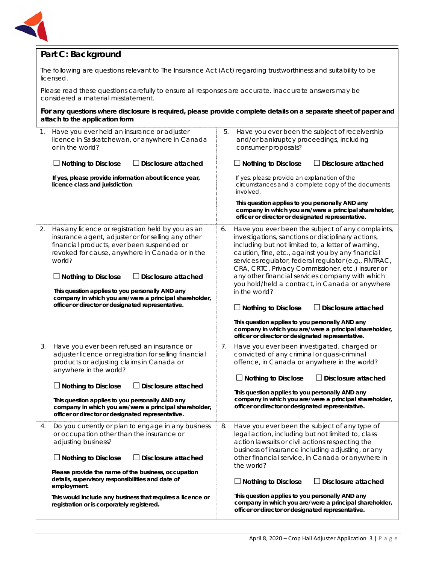

## **Part C: Background**

The following are questions relevant to *The Insurance Act* (Act) regarding trustworthiness and suitability to be licensed.

Please read these questions carefully to ensure all responses are accurate. Inaccurate answers may be considered a material misstatement.

#### **For any questions where disclosure is required, please provide complete details on a separate sheet of paper and attach to the application form**

| 1. | Have you ever held an insurance or adjuster<br>licence in Saskatchewan, or anywhere in Canada<br>or in the world?                                                                                                                                                                                                          |    | Have you ever been the subject of receivership<br>and/or bankruptcy proceedings, including<br>consumer proposals?                                                                                                                                                                                                                                                                                                                                       |
|----|----------------------------------------------------------------------------------------------------------------------------------------------------------------------------------------------------------------------------------------------------------------------------------------------------------------------------|----|---------------------------------------------------------------------------------------------------------------------------------------------------------------------------------------------------------------------------------------------------------------------------------------------------------------------------------------------------------------------------------------------------------------------------------------------------------|
|    | $\Box$ Nothing to Disclose<br>Disclosure attached                                                                                                                                                                                                                                                                          |    | $\Box$ Nothing to Disclose<br>$\Box$ Disclosure attached                                                                                                                                                                                                                                                                                                                                                                                                |
|    | If yes, please provide information about licence year,<br>licence class and jurisdiction.                                                                                                                                                                                                                                  |    | If yes, please provide an explanation of the<br>circumstances and a complete copy of the documents<br>involved.                                                                                                                                                                                                                                                                                                                                         |
|    |                                                                                                                                                                                                                                                                                                                            |    | This question applies to you personally AND any<br>company in which you are/were a principal shareholder,<br>officer or director or designated representative.                                                                                                                                                                                                                                                                                          |
| 2. | Has any licence or registration held by you as an<br>insurance agent, adjuster or for selling any other<br>financial products, ever been suspended or<br>revoked for cause, anywhere in Canada or in the<br>world?<br>$\Box$ Nothing to Disclose<br>Disclosure attached<br>This question applies to you personally AND any | 6. | Have you ever been the subject of any complaints,<br>investigations, sanctions or disciplinary actions,<br>including but not limited to, a letter of warning,<br>caution, fine, etc., against you by any financial<br>services regulator, federal regulator (e.g., FINTRAC,<br>CRA, CRTC, Privacy Commissioner, etc.) insurer or<br>any other financial services company with which<br>you hold/held a contract, in Canada or anywhere<br>in the world? |
|    | company in which you are/were a principal shareholder,<br>officer or director or designated representative.                                                                                                                                                                                                                |    | $\Box$ Nothing to Disclose<br>$\Box$ Disclosure attached                                                                                                                                                                                                                                                                                                                                                                                                |
|    |                                                                                                                                                                                                                                                                                                                            |    | This question applies to you personally AND any<br>company in which you are/were a principal shareholder,<br>officer or director or designated representative.                                                                                                                                                                                                                                                                                          |
| 3. | Have you ever been refused an insurance or<br>adjuster licence or registration for selling financial<br>products or adjusting claims in Canada or<br>anywhere in the world?                                                                                                                                                | 7. | Have you ever been investigated, charged or<br>convicted of any criminal or quasi-criminal<br>offence, in Canada or anywhere in the world?                                                                                                                                                                                                                                                                                                              |
|    | $\Box$ Nothing to Disclose<br>$\Box$ Disclosure attached                                                                                                                                                                                                                                                                   |    | $\Box$ Nothing to Disclose<br>$\Box$ Disclosure attached                                                                                                                                                                                                                                                                                                                                                                                                |
|    | This question applies to you personally AND any<br>company in which you are/were a principal shareholder,<br>officer or director or designated representative.                                                                                                                                                             |    | This question applies to you personally AND any<br>company in which you are/were a principal shareholder,<br>officer or director or designated representative.                                                                                                                                                                                                                                                                                          |
| 4. | Do you currently or plan to engage in any business<br>or occupation other than the insurance or<br>adjusting business?                                                                                                                                                                                                     | 8. | Have you ever been the subject of any type of<br>legal action, including but not limited to, class<br>action lawsuits or civil actions respecting the<br>business of insurance including adjusting, or any                                                                                                                                                                                                                                              |
|    | $\Box$ Nothing to Disclose<br>$\Box$ Disclosure attached<br>Please provide the name of the business, occupation<br>details, supervisory responsibilities and date of<br>employment.                                                                                                                                        |    | other financial service, in Canada or anywhere in<br>the world?                                                                                                                                                                                                                                                                                                                                                                                         |
|    |                                                                                                                                                                                                                                                                                                                            |    | $\Box$ Nothing to Disclose<br>J Disclosure attached                                                                                                                                                                                                                                                                                                                                                                                                     |
|    | This would include any business that requires a licence or<br>registration or is corporately registered.                                                                                                                                                                                                                   |    | This question applies to you personally AND any<br>company in which you are/were a principal shareholder,<br>officer or director or designated representative.                                                                                                                                                                                                                                                                                          |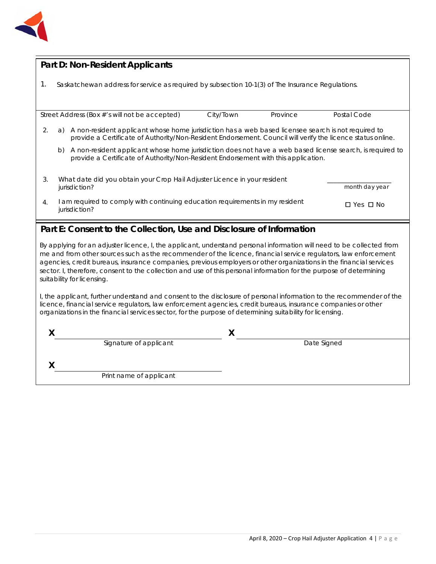

## **Part D: Non-Resident Applicants**

|  |  |  | Saskatchewan address for service as required by subsection 10-1(3) of The Insurance Regulations. |
|--|--|--|--------------------------------------------------------------------------------------------------|
|  |  |  |                                                                                                  |

|    |                                                                                                                                                                                                                          | Street Address (Box #'s will not be accepted)                                                | City/Town | Province | Postal Code          |
|----|--------------------------------------------------------------------------------------------------------------------------------------------------------------------------------------------------------------------------|----------------------------------------------------------------------------------------------|-----------|----------|----------------------|
| 2. | A non-resident applicant whose home jurisdiction has a web based licensee search is not required to<br>a)<br>provide a Certificate of Authority/Non-Resident Endorsement. Council will verify the licence status online. |                                                                                              |           |          |                      |
|    | A non-resident applicant whose home jurisdiction does not have a web based license search, is required to<br>b)<br>provide a Certificate of Authority/Non-Resident Endorsement with this application.                    |                                                                                              |           |          |                      |
| 3. | What date did you obtain your Crop Hail Adjuster Licence in your resident<br>month day year<br>jurisdiction?                                                                                                             |                                                                                              |           |          |                      |
| 4. |                                                                                                                                                                                                                          | am required to comply with continuing education requirements in my resident<br>jurisdiction? |           |          | $\Box$ Yes $\Box$ No |

## **Part E: Consent to the Collection, Use and Disclosure of Information**

By applying for an adjuster licence, I, the applicant, understand personal information will need to be collected from me and from other sources such as the recommender of the licence, financial service regulators, law enforcement agencies, credit bureaus, insurance companies, previous employers or other organizations in the financial services sector. I, therefore, consent to the collection and use of this personal information for the purpose of determining suitability for licensing.

I, the applicant, further understand and consent to the disclosure of personal information to the recommender of the licence, financial service regulators, law enforcement agencies, credit bureaus, insurance companies or other organizations in the financial services sector, for the purpose of determining suitability for licensing.

| Signature of applicant  | Date Signed |  |
|-------------------------|-------------|--|
| Print name of applicant |             |  |
|                         |             |  |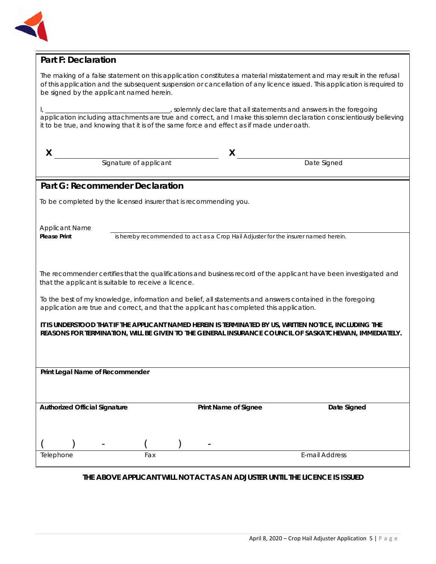

## **Part F: Declaration**

The making of a false statement on this application constitutes a material misstatement and may result in the refusal of this application and the subsequent suspension or cancellation of any licence issued. This application is required to be signed by the applicant named herein.

I, \_\_\_\_\_\_\_\_\_\_\_\_\_\_\_\_\_\_\_\_\_\_\_\_\_\_\_\_\_\_\_\_\_\_\_\_\_\_\_, solemnly declare that all statements and answers in the foregoing application including attachments are true and correct, and I make this solemn declaration conscientiously believing it to be true, and knowing that it is of the same force and effect as if made under oath.

| X                                                                                                                                                                                                               |                                                      | X                                                                                        |                                                                                                                   |  |
|-----------------------------------------------------------------------------------------------------------------------------------------------------------------------------------------------------------------|------------------------------------------------------|------------------------------------------------------------------------------------------|-------------------------------------------------------------------------------------------------------------------|--|
|                                                                                                                                                                                                                 | Signature of applicant                               |                                                                                          | Date Signed                                                                                                       |  |
|                                                                                                                                                                                                                 | <b>Part G: Recommender Declaration</b>               |                                                                                          |                                                                                                                   |  |
|                                                                                                                                                                                                                 |                                                      | To be completed by the licensed insurer that is recommending you.                        |                                                                                                                   |  |
|                                                                                                                                                                                                                 |                                                      |                                                                                          |                                                                                                                   |  |
| <b>Applicant Name</b>                                                                                                                                                                                           |                                                      |                                                                                          |                                                                                                                   |  |
| <b>Please Print</b>                                                                                                                                                                                             |                                                      | is hereby recommended to act as a Crop Hail Adjuster for the insurer named herein.       |                                                                                                                   |  |
|                                                                                                                                                                                                                 |                                                      |                                                                                          |                                                                                                                   |  |
|                                                                                                                                                                                                                 | that the applicant is suitable to receive a licence. |                                                                                          | The recommender certifies that the qualifications and business record of the applicant have been investigated and |  |
|                                                                                                                                                                                                                 |                                                      |                                                                                          |                                                                                                                   |  |
|                                                                                                                                                                                                                 |                                                      | application are true and correct, and that the applicant has completed this application. | To the best of my knowledge, information and belief, all statements and answers contained in the foregoing        |  |
| IT IS UNDERSTOOD THAT IF THE APPLICANT NAMED HEREIN IS TERMINATED BY US, WRITTEN NOTICE, INCLUDING THE<br>REASONS FOR TERMINATION, WILL BE GIVEN TO THE GENERAL INSURANCE COUNCIL OF SASKATCHEWAN, IMMEDIATELY. |                                                      |                                                                                          |                                                                                                                   |  |
|                                                                                                                                                                                                                 |                                                      |                                                                                          |                                                                                                                   |  |
| Print Legal Name of Recommender                                                                                                                                                                                 |                                                      |                                                                                          |                                                                                                                   |  |
|                                                                                                                                                                                                                 |                                                      |                                                                                          |                                                                                                                   |  |
|                                                                                                                                                                                                                 |                                                      |                                                                                          |                                                                                                                   |  |
| <b>Authorized Official Signature</b>                                                                                                                                                                            |                                                      | Print Name of Signee                                                                     | Date Signed                                                                                                       |  |
|                                                                                                                                                                                                                 |                                                      |                                                                                          |                                                                                                                   |  |
|                                                                                                                                                                                                                 |                                                      |                                                                                          |                                                                                                                   |  |
| Telephone                                                                                                                                                                                                       | Fax                                                  |                                                                                          | <b>E-mail Address</b>                                                                                             |  |
|                                                                                                                                                                                                                 |                                                      |                                                                                          |                                                                                                                   |  |

### **THE ABOVE APPLICANT WILL NOT ACT AS AN ADJUSTER UNTIL THE LICENCE IS ISSUED**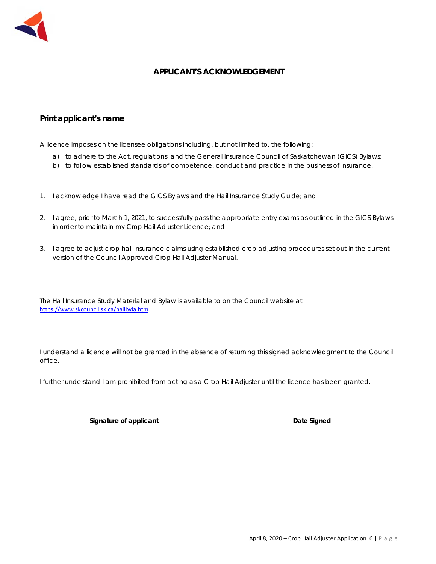

## **APPLICANT'S ACKNOWLEDGEMENT**

### **Print applicant's name**

A licence imposes on the licensee obligations including, but not limited to, the following:

- a) to adhere to the Act, regulations, and the General Insurance Council of Saskatchewan (GICS) Bylaws;
- b) to follow established standards of competence, conduct and practice in the business of insurance.
- 1. I acknowledge I have read the GICS Bylaws and the Hail Insurance Study Guide; and
- 2. I agree, prior to March 1, 2021, to successfully pass the appropriate entry exams as outlined in the GICS Bylaws in order to maintain my Crop Hail Adjuster Licence; and
- 3. I agree to adjust crop hail insurance claims using established crop adjusting procedures set out in the current version of the Council Approved Crop Hail Adjuster Manual.

The Hail Insurance Study Material and Bylaw is available to on the Council website at https://www.skcouncil.sk.ca/hailbyla.htm

I understand a licence will not be granted in the absence of returning this signed acknowledgment to the Council office.

I further understand I am prohibited from acting as a Crop Hail Adjuster until the licence has been granted.

**Signature of applicant Community Community Community Community Community Community Community Community Community Community Community Community Community Community Community Community Community Community Community Communit**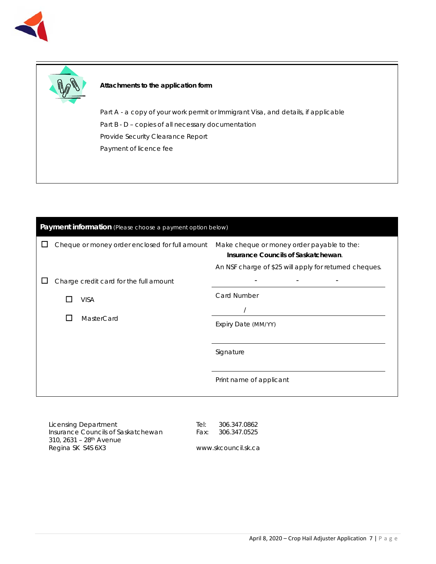



#### **Attachments to the application form**

Part A - a copy of your work permit or Immigrant Visa, and details, if applicable Part B - D - copies of all necessary documentation Provide Security Clearance Report Payment of licence fee

| Payment information (Please choose a payment option below) |  |                                                |                                                                                   |  |
|------------------------------------------------------------|--|------------------------------------------------|-----------------------------------------------------------------------------------|--|
|                                                            |  | Cheque or money order enclosed for full amount | Make cheque or money order payable to the:<br>Insurance Councils of Saskatchewan. |  |
|                                                            |  |                                                | An NSF charge of \$25 will apply for returned cheques.                            |  |
|                                                            |  | Charge credit card for the full amount         |                                                                                   |  |
|                                                            |  | <b>VISA</b>                                    | <b>Card Number</b>                                                                |  |
|                                                            |  |                                                |                                                                                   |  |
|                                                            |  | MasterCard                                     | Expiry Date (MM/YY)                                                               |  |
|                                                            |  |                                                |                                                                                   |  |
|                                                            |  |                                                | Signature                                                                         |  |
|                                                            |  |                                                |                                                                                   |  |
|                                                            |  |                                                | Print name of applicant                                                           |  |
|                                                            |  |                                                |                                                                                   |  |

Licensing Department Insurance Councils of Saskatchewan 310, 2631 – 28th Avenue Regina SK S4S 6X3

Tel: 306.347.0862 Fax: 306.347.0525

www.skcouncil.sk.ca